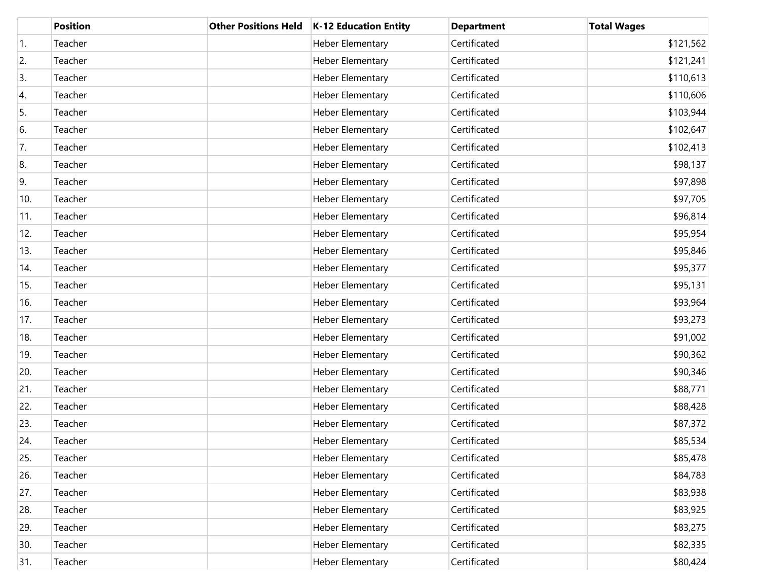|                  | <b>Position</b> | <b>Other Positions Held</b> | K-12 Education Entity   | <b>Department</b> | <b>Total Wages</b> |
|------------------|-----------------|-----------------------------|-------------------------|-------------------|--------------------|
| $\overline{1}$ . | Teacher         |                             | Heber Elementary        | Certificated      | \$121,562          |
| 2.               | Teacher         |                             | Heber Elementary        | Certificated      | \$121,241          |
| 3.               | Teacher         |                             | <b>Heber Elementary</b> | Certificated      | \$110,613          |
| 4.               | Teacher         |                             | <b>Heber Elementary</b> | Certificated      | \$110,606          |
| 5.               | Teacher         |                             | <b>Heber Elementary</b> | Certificated      | \$103,944          |
| 6.               | Teacher         |                             | <b>Heber Elementary</b> | Certificated      | \$102,647          |
| 7.               | Teacher         |                             | <b>Heber Elementary</b> | Certificated      | \$102,413          |
| 8.               | Teacher         |                             | Heber Elementary        | Certificated      | \$98,137           |
| 9.               | Teacher         |                             | <b>Heber Elementary</b> | Certificated      | \$97,898           |
| 10.              | Teacher         |                             | <b>Heber Elementary</b> | Certificated      | \$97,705           |
| 11.              | Teacher         |                             | <b>Heber Elementary</b> | Certificated      | \$96,814           |
| 12.              | Teacher         |                             | <b>Heber Elementary</b> | Certificated      | \$95,954           |
| 13.              | Teacher         |                             | <b>Heber Elementary</b> | Certificated      | \$95,846           |
| 14.              | Teacher         |                             | <b>Heber Elementary</b> | Certificated      | \$95,377           |
| 15.              | Teacher         |                             | <b>Heber Elementary</b> | Certificated      | \$95,131           |
| 16.              | Teacher         |                             | <b>Heber Elementary</b> | Certificated      | \$93,964           |
| 17.              | Teacher         |                             | <b>Heber Elementary</b> | Certificated      | \$93,273           |
| 18.              | Teacher         |                             | <b>Heber Elementary</b> | Certificated      | \$91,002           |
| 19.              | Teacher         |                             | <b>Heber Elementary</b> | Certificated      | \$90,362           |
| 20.              | Teacher         |                             | <b>Heber Elementary</b> | Certificated      | \$90,346           |
| 21.              | Teacher         |                             | Heber Elementary        | Certificated      | \$88,771           |
| 22.              | Teacher         |                             | <b>Heber Elementary</b> | Certificated      | \$88,428           |
| 23.              | Teacher         |                             | <b>Heber Elementary</b> | Certificated      | \$87,372           |
| 24.              | Teacher         |                             | Heber Elementary        | Certificated      | \$85,534           |
| 25.              | Teacher         |                             | Heber Elementary        | Certificated      | \$85,478           |
| 26.              | Teacher         |                             | Heber Elementary        | Certificated      | \$84,783           |
| 27.              | Teacher         |                             | <b>Heber Elementary</b> | Certificated      | \$83,938           |
| 28.              | Teacher         |                             | <b>Heber Elementary</b> | Certificated      | \$83,925           |
| 29.              | Teacher         |                             | <b>Heber Elementary</b> | Certificated      | \$83,275           |
| 30.              | Teacher         |                             | Heber Elementary        | Certificated      | \$82,335           |
| 31.              | Teacher         |                             | <b>Heber Elementary</b> | Certificated      | \$80,424           |